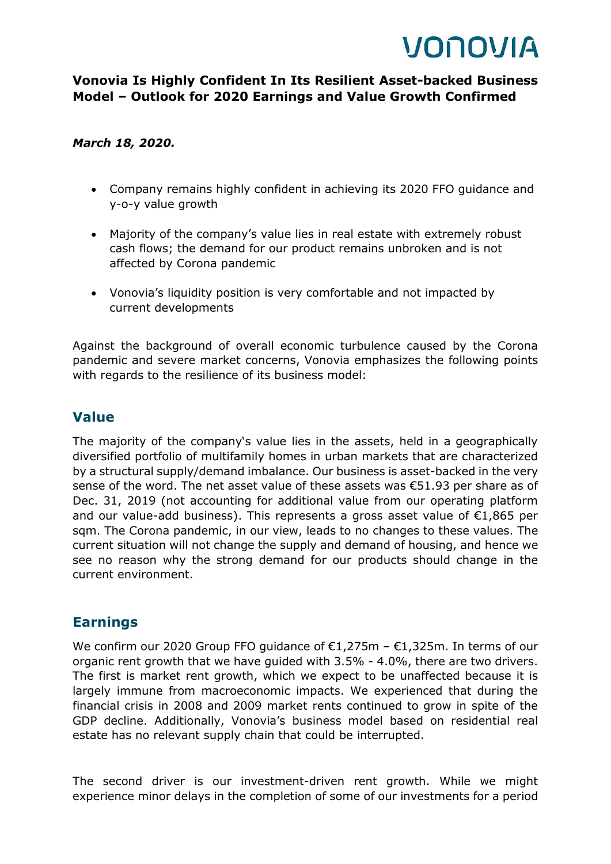# VONOVIA

#### **Vonovia Is Highly Confident In Its Resilient Asset-backed Business Model – Outlook for 2020 Earnings and Value Growth Confirmed**

#### *March 18, 2020.*

- Company remains highly confident in achieving its 2020 FFO guidance and y-o-y value growth
- Majority of the company's value lies in real estate with extremely robust cash flows; the demand for our product remains unbroken and is not affected by Corona pandemic
- Vonovia's liquidity position is very comfortable and not impacted by current developments

Against the background of overall economic turbulence caused by the Corona pandemic and severe market concerns, Vonovia emphasizes the following points with regards to the resilience of its business model:

#### **Value**

The majority of the company's value lies in the assets, held in a geographically diversified portfolio of multifamily homes in urban markets that are characterized by a structural supply/demand imbalance. Our business is asset-backed in the very sense of the word. The net asset value of these assets was  $\epsilon$ 51.93 per share as of Dec. 31, 2019 (not accounting for additional value from our operating platform and our value-add business). This represents a gross asset value of  $E1,865$  per sqm. The Corona pandemic, in our view, leads to no changes to these values. The current situation will not change the supply and demand of housing, and hence we see no reason why the strong demand for our products should change in the current environment.

#### **Earnings**

We confirm our 2020 Group FFO guidance of €1,275m - €1,325m. In terms of our organic rent growth that we have guided with 3.5% - 4.0%, there are two drivers. The first is market rent growth, which we expect to be unaffected because it is largely immune from macroeconomic impacts. We experienced that during the financial crisis in 2008 and 2009 market rents continued to grow in spite of the GDP decline. Additionally, Vonovia's business model based on residential real estate has no relevant supply chain that could be interrupted.

The second driver is our investment-driven rent growth. While we might experience minor delays in the completion of some of our investments for a period